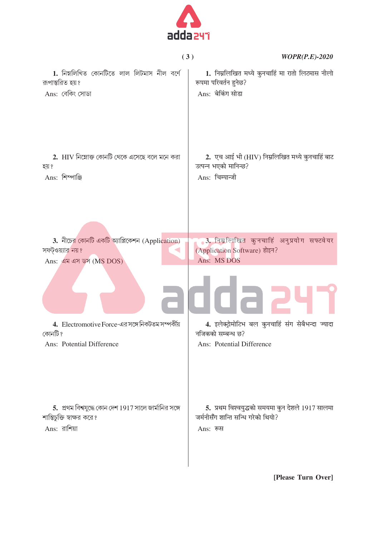

|                                                        | (3)<br>$WOPR(P.E)-2020$                            |
|--------------------------------------------------------|----------------------------------------------------|
| 1. নিম্নলিখিত কোনটিতে লাল লিটমাস নীল বৰ্ণে             | 1. निम्नलिखित मध्ये कुनचाहिं मा रातो लिटमास नीलो   |
| রূপান্তরিত হয়?                                        | रूपमा परिवर्तन हुनेछ?                              |
| Ans: বেকিং সোডা                                        | Ans: बेकिंग सोडा                                   |
| 2. HIV নিম্নোক্ত কোনটি থেকে এসেছে বলে মনে করা          | 2. एच आई भी (HIV) निम्नलिखित मध्ये कुनचाहिं बाट    |
| হয় ?                                                  | उत्पन्न भएको मानिन्छ?                              |
| Ans: শিম্পাঞ্জি                                        | Ans: चिम्पान्जी                                    |
| 3. নীচের কোনটি একটি অ্যাপ্লিকেশন (Application)         | 3. निम्नलिखित कुनचाहिं अनुप्रयोग सफ्टवेयर          |
| সফট্ওয়্যার নয়?                                       | (Application Software) होइन?                       |
| Ans: এম এস ডস (MS DOS)                                 | Ans: MS DOS                                        |
|                                                        |                                                    |
| 4. Electromotive Force-এর সঙ্গে নিকটতম সম্পর্কীয়      | 4. इलेक्ट्रोमोटिभ बल कुनचाहिं संग सेबैभन्दा ज्यादा |
| কোনটি ?                                                | नजिकको सम्बन्ध छ?                                  |
| Ans: Potential Difference                              | Ans: Potential Difference                          |
| 5. প্রথম বিশ্বযুদ্ধে কোন দেশ 1917 সালে জার্মানির সঙ্গে | 5. प्रथम विश्वयुद्धको समयमा कुन देशले 1917 सालमा   |
| শান্তিচুক্তি স্বাক্ষর করে?                             | जर्मनीसँग शान्ति सन्धि गरेको थियो?                 |
| Ans: রাশিয়া                                           | Ans: रूस                                           |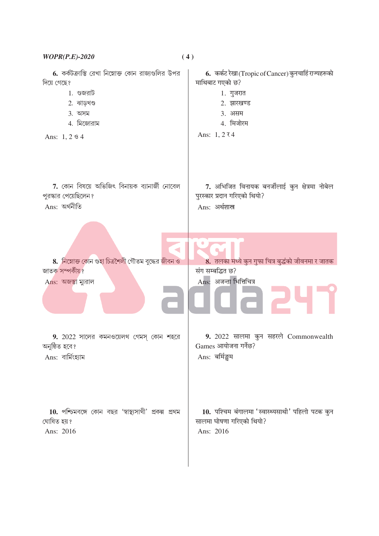| $WOPR(P.E)-2020$                                        | (4)                                                  |
|---------------------------------------------------------|------------------------------------------------------|
| 6. কর্কটক্রান্তি রেখা নিম্নোক্ত কোন রাজ্যগুলির উপর      | 6. कर्कट रेखा (Tropic of Cancer) कुनचाहिं राज्यहरूको |
| দিয়ে গেছে?                                             | माथिबाट गएको छ?                                      |
| $1.$ গুজরাট                                             | 1. गुजरात                                            |
| 2. $\Delta$ বাড়খণ্ড                                    | 2. झारखण्ड                                           |
| $3.$ অসম                                                | 3. असम                                               |
| 4. মিজোরাম                                              | 4. मिजोरम                                            |
| Ans: $1, 2 \& 4$                                        | Ans: $1, 274$                                        |
| 7. কোন বিষয়ে অভিজিৎ বিনায়ক ব্যানার্জী নোবেল           | 7. अभिजित विनायक बनर्जीलाई कुन क्षेत्रमा नोबेल       |
| পুরস্কার পেয়েছিলেন?                                    | पुरस्कार प्रदान गरिएको थियो?                         |
| Ans: অর্থনীতি                                           | Ans: अर्थशास्त्र                                     |
| 8. নিম্নোক্ত কোন গুহা চিত্রশৈলী গৌতম বুদ্ধের জীবন ও     | 8. तलका मध्ये कुन गुफा चित्र बुद्धंको जीवनमा र जातक  |
| জাতক সম্পৰ্কীয়?                                        | संग सम्बद्धित छ?                                     |
| Ans: অজন্তা ম্যুরাল                                     | Ans: अजन्ता भित्तिचित्र                              |
| 9. 2022 সালের কমনওয়েলথ গেমস্ কোন শহরে                  | 9. 2022 सालमा कुन सहरले Commonwealth                 |
| অনুষ্ঠিত হবে?                                           | Games आयोजना गर्नेछ?                                 |
| Ans: বাৰ্মিংহ্যাম                                       | Ans: बर्मिङ्घम                                       |
| $10.$ পশ্চিমবঙ্গে কোন বছর 'স্বাস্থ্যসাথী' প্রকল্প প্রথম | 10. पश्चिम बंगालमा 'स्वास्थ्यसाथी' पहिलो पटक कुन     |
| ঘোষিত হয়?                                              | सालमा घोषणा गरिएको थियो?                             |
| Ans: 2016                                               | Ans: 2016                                            |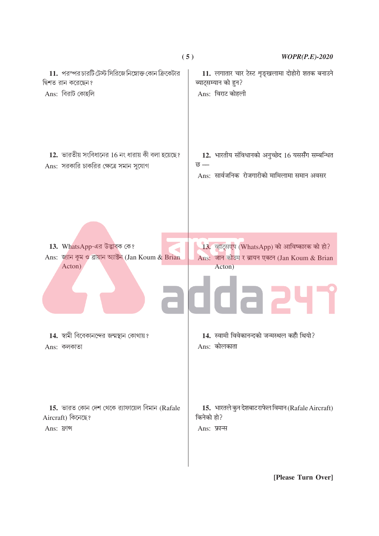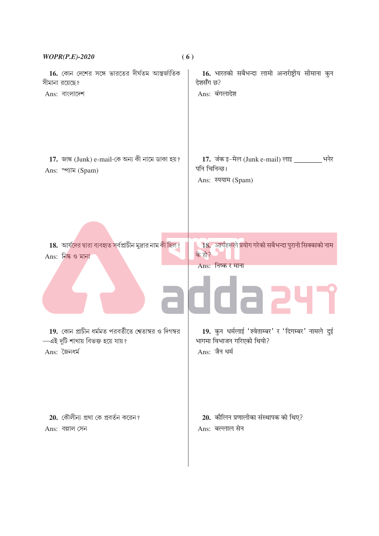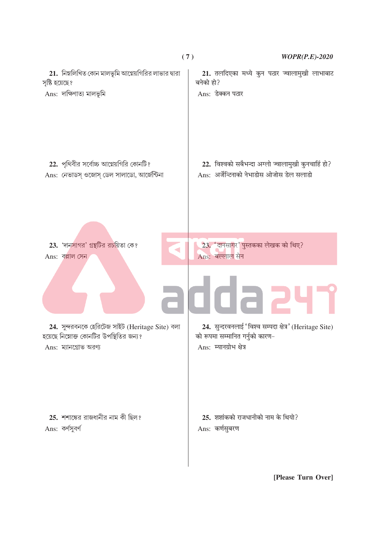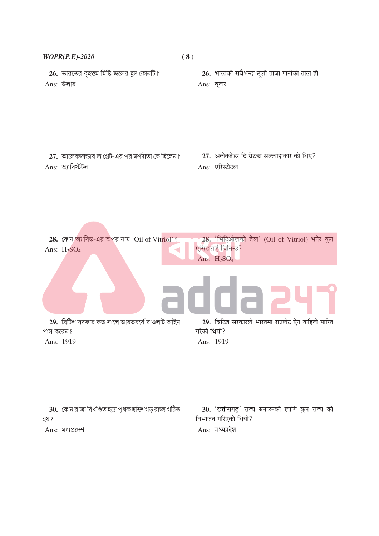| $WOPR(P.E)-2020$                                        | (8)                                              |
|---------------------------------------------------------|--------------------------------------------------|
| 26. ভারতের বৃহত্তম মিষ্টি জলের হুদ কোনটি?               | 26. भारतको सबैभन्दा ठूलो ताजा पानीको ताल हो—     |
| Ans: উলার                                               | Ans: वूलर                                        |
| 27. আলেকজান্ডার দ্য গ্রেট-এর পরামর্শদাতা কে ছিলেন ?     | 27. अलेक्जेंडर दि ग्रेटका सल्लाहाकार को थिए?     |
| $Ans:$ অ্যারিস্টটল                                      | Ans: एरिस्टोटल                                   |
| 28. কোন অ্যাসিড-এর অপর নাম 'Oil of Vitriol'?            | 28. 'भिट्ठिओलको तेल' (Oil of Vitriol) भनेर कुन   |
| Ans: $H2SO4$                                            | एसिडलाई चिनिन्छ?                                 |
| ◀                                                       | Ans: $H_2SO_4$                                   |
| 29. ৱিটিশ সরকার কত সালে ভারতবর্ষে রাওলাট আইন            | 29. ब्रिटिश सरकारले भारतमा राउलेट ऐन कहिले पारित |
| পাস করেন?                                               | गरेको थियो?                                      |
| Ans: 1919                                               | Ans: 1919                                        |
| 30. কোন রাজ্য দ্বিখণ্ডিত হয়ে পৃথক ছত্তিশগড় রাজ্য গঠিত | 30. 'छत्तीसगढ़' राज्य बनाउनको लागि कुन राज्य को  |
| হয় ?                                                   | विभाजन गरिएको थियो?                              |
| Ans: মধ্যপ্রদেশ                                         | Ans: मध्यप्रदेश                                  |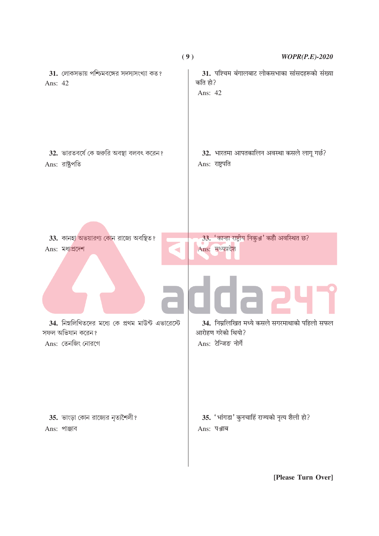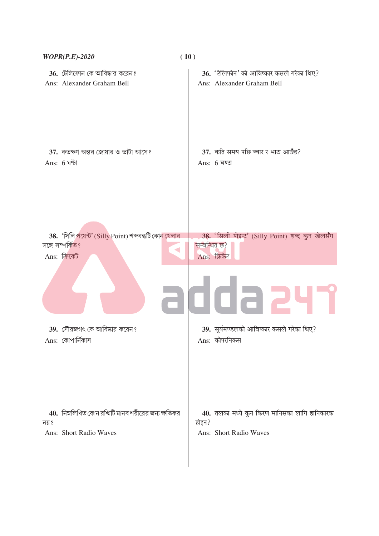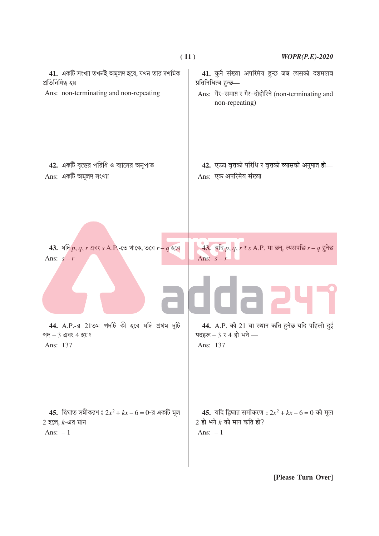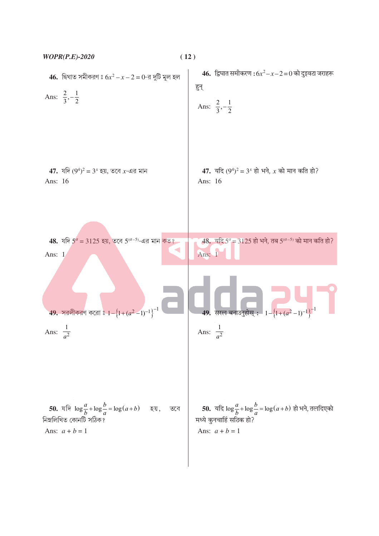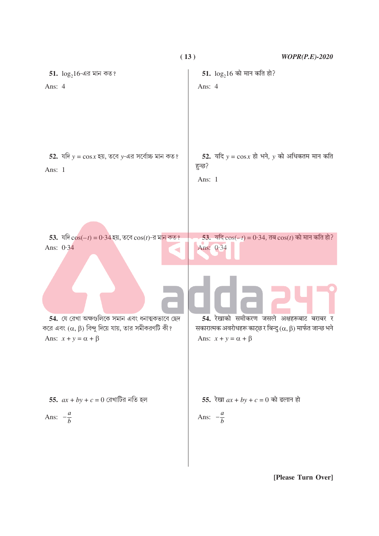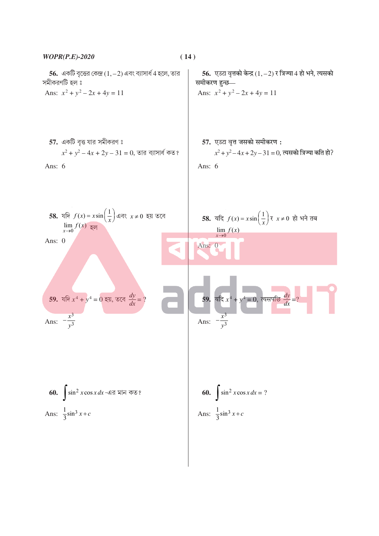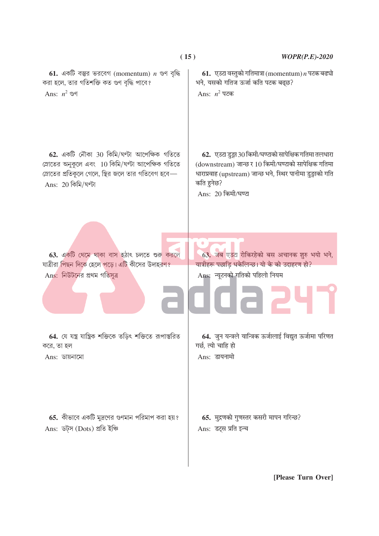

 $(15)$ 

## $WOPR(P.E)-2020$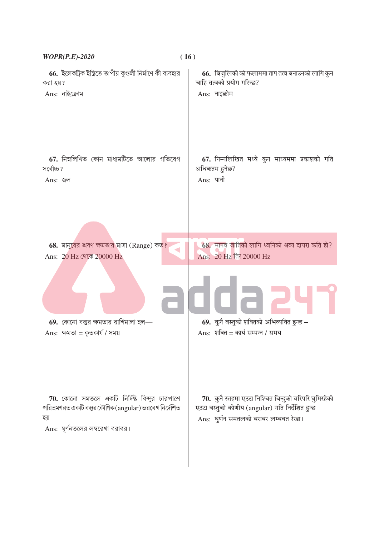| <b>WOPR(P.E)-2020</b>                                                                                                                                    | (16)                                                                                                                                                |
|----------------------------------------------------------------------------------------------------------------------------------------------------------|-----------------------------------------------------------------------------------------------------------------------------------------------------|
| 66. ইলেকট্রিক ইস্ত্রিতে তাপীয় কুণ্ডলী নির্মাণে কী ব্যবহার                                                                                               | 66. बिजुलिको को फलाममा ताप तत्व बनाउनको लागि कुन                                                                                                    |
| করা হয়?                                                                                                                                                 | चाहि तत्वको प्रयोग गरिन्छ?                                                                                                                          |
| $Ans:$ নাইক্রোম                                                                                                                                          | Ans: नाइक्रोम                                                                                                                                       |
| 67. নিম্নলিখিত কোন মাধ্যমটিতে আলোর গতিবেগ                                                                                                                | 67. निम्नलिखित मध्ये कुन माध्यममा प्रकाशको गति                                                                                                      |
| সৰ্বোচ্চ ?                                                                                                                                               | अधिकतम हुनेछ?                                                                                                                                       |
| Ans: জল                                                                                                                                                  | Ans: पानी                                                                                                                                           |
| 68. মানুষের শ্রবণ ক্ষমতার মাত্রা (Range) কত?                                                                                                             | 68. मानव जातिको लागि ध्वनिको श्रव्य दायरा कति हो?                                                                                                   |
| Ans: 20 Hz থেকে 20000 Hz                                                                                                                                 | Ans: 20 Hz तिर 20000 Hz                                                                                                                             |
| $69.$ কোনো বস্তুর ক্ষমতার রাশিমালা হল—                                                                                                                   | 69. कुनै वस्तुको शक्तिको अभिव्यक्ति हुन्छ $-$                                                                                                       |
| Ans: ক্ষমতা = কৃতকাৰ্য / সময়                                                                                                                            | Ans: शक्ति = कार्य सम्पन्न / समय                                                                                                                    |
| <b>70.</b> কোনো সমতলে একটি নির্দিষ্ট বিন্দুর চারপাশে<br>পরিভ্রমণরত একটি বস্তুর কৌণিক (angular) ভরবেগ নির্দেশিত<br>হয়<br>Ans: ঘূর্ণনতলের লম্বরেখা বরাবর। | 70. कुनै स्तहमा एउटा निश्चित बिन्दुको वरिपरि घुमिरहेको<br>एउटा वस्तुको कोणीय (angular) गति निर्देशित हुन्छ<br>Ans: घुर्णन समतलको बराबर लम्बवत रेखा। |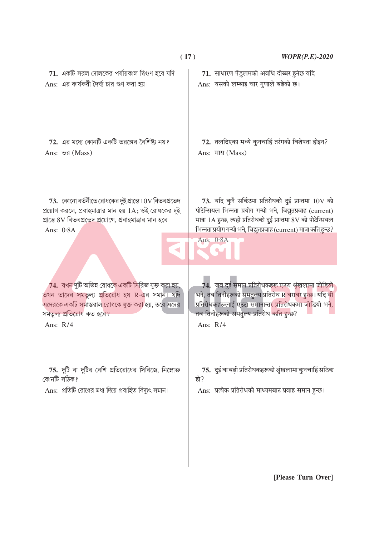| (17)                                                                                                                                                                                       | $WOPR(P.E)-2020$                                                                                                                                                                                                                                                                  |
|--------------------------------------------------------------------------------------------------------------------------------------------------------------------------------------------|-----------------------------------------------------------------------------------------------------------------------------------------------------------------------------------------------------------------------------------------------------------------------------------|
| $71.$ একটি সরল দোলকের পর্যায়কাল দ্বিগুণ হবে যদি                                                                                                                                           | 71. साधारण पेंडुलमको अवधि दोब्बर हुनेछ यदि                                                                                                                                                                                                                                        |
| Ans: এর কার্যকরী দৈর্ঘ্য চার গুণ করা হয়।                                                                                                                                                  | Ans: यसको लम्बाइ चार गुणाले बढेको छ।                                                                                                                                                                                                                                              |
| $72.$ এর মধ্যে কোনটি একটি তরঙ্গের বৈশিষ্ট্য নয়?                                                                                                                                           | 72. तलदिएका मध्ये कुनचाहिं तरंगको विशेषता होइन?                                                                                                                                                                                                                                   |
| Ans: ভর (Mass)                                                                                                                                                                             | Ans: मास (Mass)                                                                                                                                                                                                                                                                   |
| $73.$ কোনো বর্তনীতে রোধকের দুই প্রান্তে $10V$ বিভবপ্রভেদ<br>প্রয়োগ করলে, প্রবাহমাত্রার মান হয় 1A; ওই রোধকের দুই<br>প্রান্তে ৪V বিভবপ্রভেদ প্রয়োগে, প্রবাহমাত্রার মান হবে<br>Ans: $0.8A$ | 73. यदि कुनै सर्किटमा प्रतिरोधको दुई प्रान्तमा $10V$ को<br>पोटेन्सियल भिन्नता प्रयोग गऱ्यो भने, विद्युतप्रवाह (current)<br>मात्रा 1A हुन्छ, त्यही प्रतिरोधको दुई प्रान्तमा 8V को पोटेन्सियल<br>भिन्नता प्रयोग गन्यो भने, विद्युतप्रवाह (current) मात्रा कति हुन्छ?<br>Ans: $0.8A$ |
| 74. যখন দুটি অভিন্ন রোধকে একটি সিরিজ যুক্ত করা হয়,                                                                                                                                        | 74. जब दुई समान प्रतिरोधकहरू एउटा श्रृंखलामा जोडियो                                                                                                                                                                                                                               |
| তখন তাদের সমতুল্য প্রতিরোধ হয় R-এর সমান। যদি                                                                                                                                              | भने, तब तिनीहरूको समतुल्य प्रतिरोध R बराबर हुन्छ। यदि यी                                                                                                                                                                                                                          |
| এদেরকে একটি সমান্তরাল রোধকে যুক্ত করা হয়, তবে এদের                                                                                                                                        | <u>प्रतिरोधकहरूलाई एउटा समानान्तर प्रतिरोधकमा जोडियो भने,</u>                                                                                                                                                                                                                     |
| সমতুল্য প্ৰতিরোধ কত হবে?                                                                                                                                                                   | तब तिनीहरूको समतुल्य प्रतिरोध कति हुन्छ?                                                                                                                                                                                                                                          |
| Ans: $R/4$                                                                                                                                                                                 | Ans: $R/4$                                                                                                                                                                                                                                                                        |
| <b>75.</b> দুটি বা দুটির বেশি প্রতিরোধের সিরিজে, নিম্নোক্ত                                                                                                                                 | 75. दुई वा बढ़ी प्रतिरोधकहरूको श्रृंखलामा कुनचाहिं सठिक                                                                                                                                                                                                                           |
| কোনটি সঠিক?                                                                                                                                                                                | हो?                                                                                                                                                                                                                                                                               |
| Ans: প্রতিটি রোধের মধ্য দিয়ে প্রবাহিত বিদ্যুৎ সমান।                                                                                                                                       | Ans: प्रत्येक प्रतिरोधको माध्यमबाट प्रवाह समान हुन्छ।                                                                                                                                                                                                                             |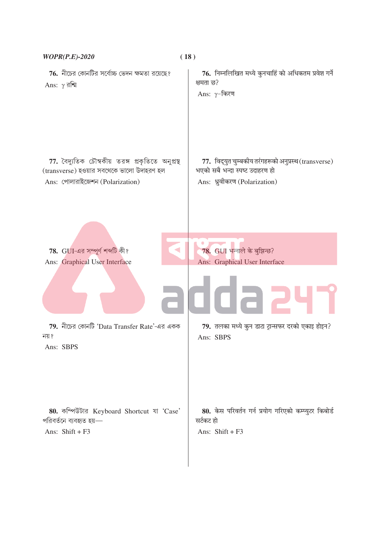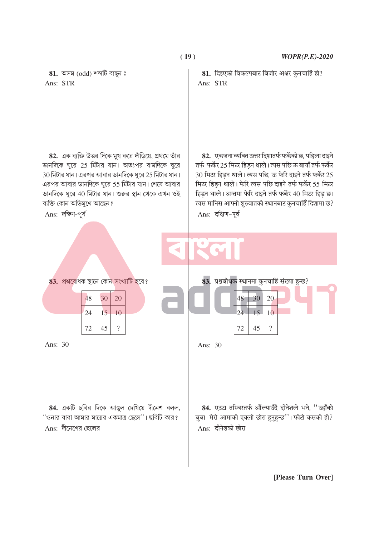

**( 19 )** *WOPR(P.E)-2020*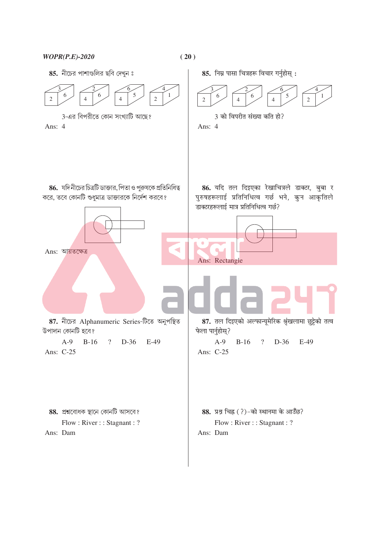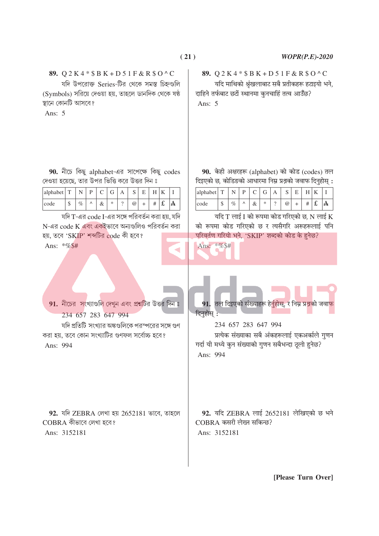## 89.  $Q 2 K 4 * S B K + D 5 1 F & R S O^{\wedge} C$

যদি উপরোক্ত Series-টির থেকে সমস্ত চিহ্নগুলি (Symbols) সরিয়ে দেওয়া হয়, তাহলে ডানদিক থেকে ষষ্ঠ স্থানে কোনটি আসবে?

Ans:  $5$ 

यदि माथिको श्रृंखलाबाट सबै प्रतीकहरू हटाइयो भने, दाहिने तर्फबाट छटों स्थानमा कुनचाहिं तत्व आउँछ?

89.  $Q 2 K 4 * S B K + D 5 1 F & R S O^C$ 

Ans:  $5$ 

90. নীচে কিছু alphabet-এর সাপেক্ষে কিছু codes দেওয়া হয়েছে. তার উপর ভিত্তি করে উত্তর দিন ঃ

| alphabet | m      |      |           |   | $\sim$<br>ັ |        |     |
|----------|--------|------|-----------|---|-------------|--------|-----|
| code     | ¢<br>Φ | $\%$ | $\propto$ | ∗ | @           | #<br>π | ' A |

যদি T-এর code I-এর সঙ্গে পরিবর্তন করা হয়, যদি N-এর code K এবং একইভাবে অন্যগুলিও পরিবর্তন করা হয়, তবে 'SKIP' শব্দটির code কী হবে? Ans: \*%\$#

91. নীচের সংখ্যাগুলি দেখুন এবং প্রশ্নটির উত্তর দিন ঃ

যদি প্রতিটি সংখ্যার অঙ্কগুলিকে পরস্পরের সঙ্গে গুণ

234 657 283 647 994

Ans: 994

করা হয়, তবে কোন সংখ্যাটির গুণফল সর্বোচ্চ হবে?

90. केही अक्षरहरू (alphabet) को कोड (codes) तल दिइएको छ. कोडिङको आधारमा निम्न प्रश्रको जवाफ दिनहोस :

| alphabet | m      |      | D |   |   | c<br>N          |  |   |  |
|----------|--------|------|---|---|---|-----------------|--|---|--|
| code     | đ<br>Ψ | $\%$ | Λ | α | ∗ | $^{\copyright}$ |  | ~ |  |

यदि  $T$  लाई I को रूपमा कोड गरिएको छ, N लाई  $\boldsymbol{\mathrm{K}}$ को रूपमा कोड गरिएको छ र त्यसैगरि अरूहरूलाई पनि परिवर्तण गरियो भने, 'SKIP' शब्दको कोड के हुनेछ?

Ans: \*%\$#

91. तल दिइएको संख्याहरू हे<u>र्नुहोस्,</u> र निम्न प्रश्नको जवा<mark>फ</mark> दिनहोस:

234 657 283 647 994

 $CORRA$  कसरी लेख्न सकिन्छ?

Ans: 3152181

प्रत्येक संख्याका सबै अंकहरूलाई एकअर्काले गुणन गर्दा यी मध्ये कुन संख्याको गुणन सबैभन्दा ठूलो हुनेछ? Ans: 994

92. यदि ZEBRA लाई 2652181 लेखिएको छ भने

92. যদি ZEBRA লেখা হয় 2652181 ভাবে, তাহলে  $COBRA$  কীভাবে লেখা হবে? Ans: 3152181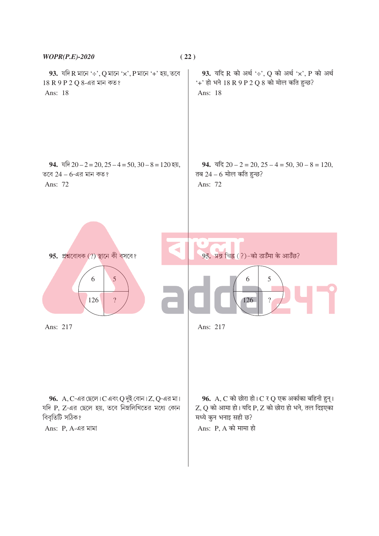